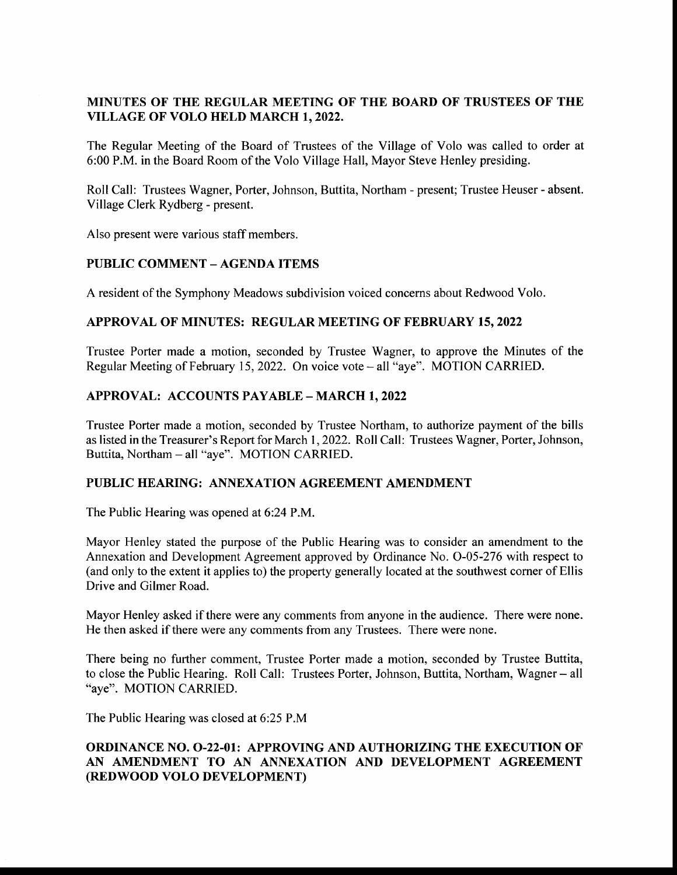# MINUTES OF THE REGULAR MEETING OF THE BOARD OF TRUSTEES OF THE VILLAGE OF VOLO HELD MARCH 1, 2022.

The Regular Meeting of the Board of Trustees of the Village of Volo was called to order at 6:00 P.M. in the Board Room of the Volo Village Hall, Mayor Steve Henley presiding.

Roll Call: Trustees Wagner, Porter, Johnson, Buttita, Northam - present; Trustee Heuser- absent. Village Clerk Rydberg- present.

Also present were various staff members.

# PUBLIC COMMENT— AGENDA ITEMS

A resident of the Symphony Meadows subdivision voiced concerns about Redwood Volo.

#### APPROVAL OF MINUTES: REGULAR MEETING OF FEBRUARY 15, 2022

Trustee Porter made a motion, seconded by Trustee Wagner, to approve the Minutes of the Regular Meeting of February 15, 2022. On voice vote – all "aye". MOTION CARRIED.

# APPROVAL: ACCOUNTS PAYABLE— MARCH 1, 2022

Trustee Porter made <sup>a</sup> motion, seconded by Trustee Northam, to authorize payment of the bills as listed in the Treasurer' <sup>s</sup> Report for March 1, 2022. Roll Call: Trustees Wagner, Porter, Johnson, Buttita, Northam - all "aye". MOTION CARRIED.

# PUBLIC HEARING: ANNEXATION AGREEMENT AMENDMENT

The Public Hearing was opened at 6:24 P.M.

Mayor Henley stated the purpose of the Public Hearing was to consider an amendment to the Annexation and Development Agreement approved by Ordinance No. O-05-276 with respect to and only to the extent it applies to) the property generally located at the southwest corner of Ellis Drive and Gilmer Road.

Mayor Henley asked if there were any comments from anyone in the audience. There were none. He then asked if there were any comments from any Trustees. There were none.

There being no further comment, Trustee Porter made a motion, seconded by Trustee Buttita, to close the Public Hearing. Roll Call: Trustees Porter, Johnson, Buttita, Northam, Wagner— all aye". MOTION CARRIED.

The Public Hearing was closed at 6:25 P.M

# ORDINANCE NO. 0-22-01: APPROVING AND AUTHORIZING THE EXECUTION OF AN AMENDMENT TO AN ANNEXATION AND DEVELOPMENT AGREEMENT REDWOOD VOLO DEVELOPMENT)